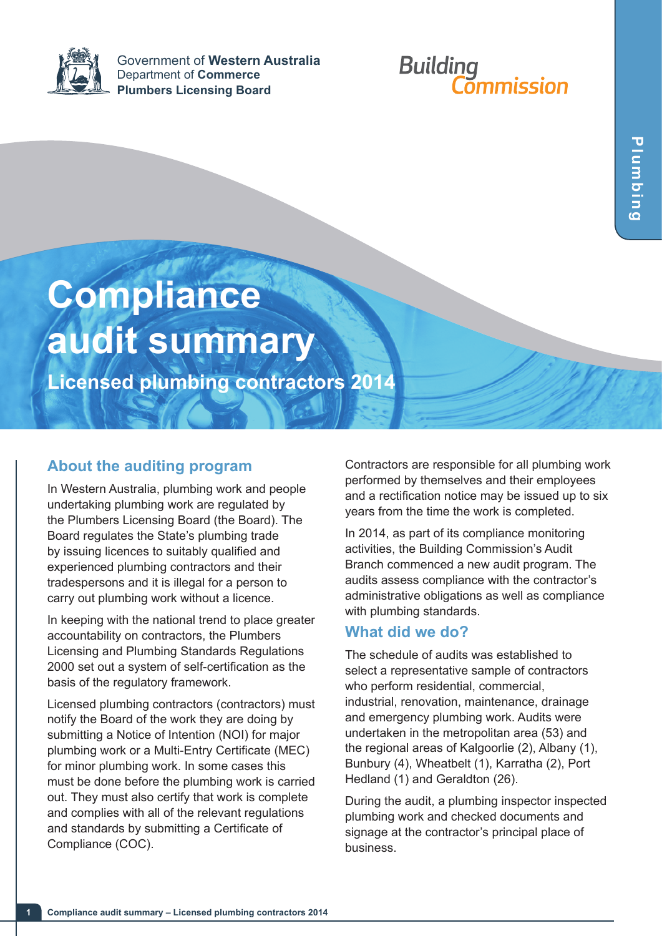

Government of **Western Australia** Department of **Commerce Plumbers Licensing Board**

# **Building<br>Commission**

# **Compliance audit summary**

**Licensed plumbing contractors 2014**

## **About the auditing program**

In Western Australia, plumbing work and people undertaking plumbing work are regulated by the Plumbers Licensing Board (the Board). The Board regulates the State's plumbing trade by issuing licences to suitably qualified and experienced plumbing contractors and their tradespersons and it is illegal for a person to carry out plumbing work without a licence.

In keeping with the national trend to place greater accountability on contractors, the Plumbers Licensing and Plumbing Standards Regulations 2000 set out a system of self-certification as the basis of the regulatory framework.

Licensed plumbing contractors (contractors) must notify the Board of the work they are doing by submitting a Notice of Intention (NOI) for major plumbing work or a Multi-Entry Certificate (MEC) for minor plumbing work. In some cases this must be done before the plumbing work is carried out. They must also certify that work is complete and complies with all of the relevant regulations and standards by submitting a Certificate of Compliance (COC).

Contractors are responsible for all plumbing work performed by themselves and their employees and a rectification notice may be issued up to six years from the time the work is completed.

In 2014, as part of its compliance monitoring activities, the Building Commission's Audit Branch commenced a new audit program. The audits assess compliance with the contractor's administrative obligations as well as compliance with plumbing standards.

### **What did we do?**

The schedule of audits was established to select a representative sample of contractors who perform residential, commercial, industrial, renovation, maintenance, drainage and emergency plumbing work. Audits were undertaken in the metropolitan area (53) and the regional areas of Kalgoorlie (2), Albany (1), Bunbury (4), Wheatbelt (1), Karratha (2), Port Hedland (1) and Geraldton (26).

During the audit, a plumbing inspector inspected plumbing work and checked documents and signage at the contractor's principal place of business.